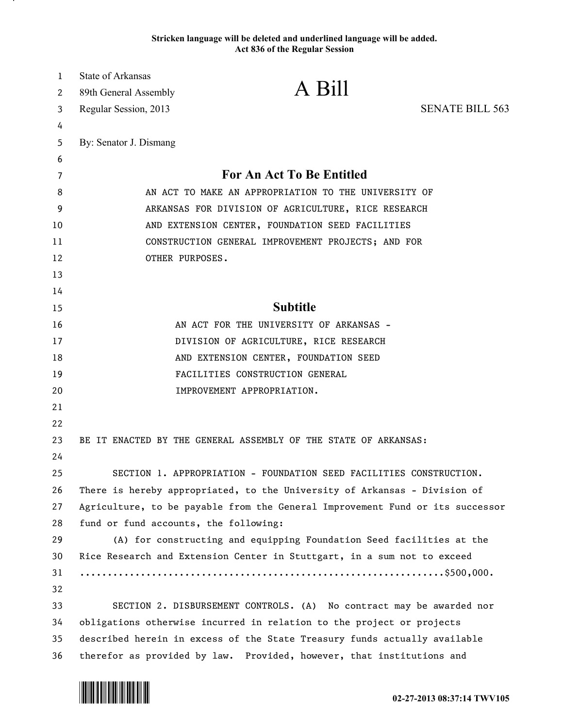## **Stricken language will be deleted and underlined language will be added. Act 836 of the Regular Session**

| 1  | State of Arkansas                                                             |                                                                       |                        |
|----|-------------------------------------------------------------------------------|-----------------------------------------------------------------------|------------------------|
| 2  | 89th General Assembly                                                         | A Bill                                                                |                        |
| 3  | Regular Session, 2013                                                         |                                                                       | <b>SENATE BILL 563</b> |
| 4  |                                                                               |                                                                       |                        |
| 5  | By: Senator J. Dismang                                                        |                                                                       |                        |
| 6  |                                                                               |                                                                       |                        |
| 7  | For An Act To Be Entitled                                                     |                                                                       |                        |
| 8  | AN ACT TO MAKE AN APPROPRIATION TO THE UNIVERSITY OF                          |                                                                       |                        |
| 9  | ARKANSAS FOR DIVISION OF AGRICULTURE, RICE RESEARCH                           |                                                                       |                        |
| 10 | AND EXTENSION CENTER, FOUNDATION SEED FACILITIES                              |                                                                       |                        |
| 11 | CONSTRUCTION GENERAL IMPROVEMENT PROJECTS; AND FOR                            |                                                                       |                        |
| 12 | OTHER PURPOSES.                                                               |                                                                       |                        |
| 13 |                                                                               |                                                                       |                        |
| 14 |                                                                               |                                                                       |                        |
| 15 | <b>Subtitle</b>                                                               |                                                                       |                        |
| 16 | AN ACT FOR THE UNIVERSITY OF ARKANSAS -                                       |                                                                       |                        |
| 17 | DIVISION OF AGRICULTURE, RICE RESEARCH                                        |                                                                       |                        |
| 18 | AND EXTENSION CENTER, FOUNDATION SEED                                         |                                                                       |                        |
| 19 | FACILITIES CONSTRUCTION GENERAL                                               |                                                                       |                        |
| 20 |                                                                               | IMPROVEMENT APPROPRIATION.                                            |                        |
| 21 |                                                                               |                                                                       |                        |
| 22 |                                                                               |                                                                       |                        |
| 23 | BE IT ENACTED BY THE GENERAL ASSEMBLY OF THE STATE OF ARKANSAS:               |                                                                       |                        |
| 24 |                                                                               |                                                                       |                        |
| 25 | SECTION 1. APPROPRIATION - FOUNDATION SEED FACILITIES CONSTRUCTION.           |                                                                       |                        |
| 26 | There is hereby appropriated, to the University of Arkansas - Division of     |                                                                       |                        |
| 27 | Agriculture, to be payable from the General Improvement Fund or its successor |                                                                       |                        |
| 28 | fund or fund accounts, the following:                                         |                                                                       |                        |
| 29 | (A) for constructing and equipping Foundation Seed facilities at the          |                                                                       |                        |
| 30 | Rice Research and Extension Center in Stuttgart, in a sum not to exceed       |                                                                       |                        |
| 31 |                                                                               |                                                                       |                        |
| 32 |                                                                               |                                                                       |                        |
| 33 | SECTION 2. DISBURSEMENT CONTROLS. (A) No contract may be awarded nor          |                                                                       |                        |
| 34 | obligations otherwise incurred in relation to the project or projects         |                                                                       |                        |
| 35 | described herein in excess of the State Treasury funds actually available     |                                                                       |                        |
| 36 |                                                                               | therefor as provided by law. Provided, however, that institutions and |                        |



.